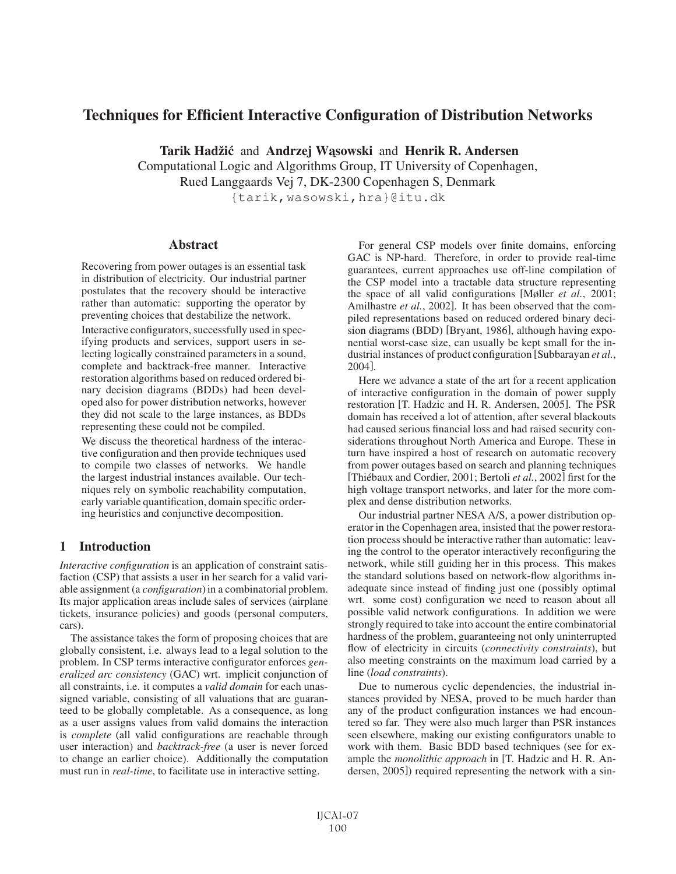# Techniques for Efficient Interactive Configuration of Distribution Networks

Tarik Hadžić and Andrzej W ąsowski and Henrik R. Andersen

Computational Logic and Algorithms Group, IT University of Copenhagen, Rued Langgaards Vej 7, DK-2300 Copenhagen S, Denmark

{tarik,wasowski,hra}@itu.dk

## Abstract

Recovering from power outages is an essential task in distribution of electricity. Our industrial partner postulates that the recovery should be interactive rather than automatic: supporting the operator by preventing choices that destabilize the network.

Interactive configurators, successfully used in specifying products and services, support users in selecting logically constrained parameters in a sound, complete and backtrack-free manner. Interactive restoration algorithms based on reduced ordered binary decision diagrams (BDDs) had been developed also for power distribution networks, however they did not scale to the large instances, as BDDs representing these could not be compiled.

We discuss the theoretical hardness of the interactive configuration and then provide techniques used to compile two classes of networks. We handle the largest industrial instances available. Our techniques rely on symbolic reachability computation, early variable quantification, domain specific ordering heuristics and conjunctive decomposition.

## 1 Introduction

*Interactive configuration* is an application of constraint satisfaction (CSP) that assists a user in her search for a valid variable assignment (a *configuration*) in a combinatorial problem. Its major application areas include sales of services (airplane tickets, insurance policies) and goods (personal computers, cars).

The assistance takes the form of proposing choices that are globally consistent, i.e. always lead to a legal solution to the problem. In CSP terms interactive configurator enforces *generalized arc consistency* (GAC) wrt. implicit conjunction of all constraints, i.e. it computes a *valid domain* for each unassigned variable, consisting of all valuations that are guaranteed to be globally completable. As a consequence, as long as a user assigns values from valid domains the interaction is *complete* (all valid configurations are reachable through user interaction) and *backtrack-free* (a user is never forced to change an earlier choice). Additionally the computation must run in *real-time*, to facilitate use in interactive setting.

For general CSP models over finite domains, enforcing GAC is NP-hard. Therefore, in order to provide real-time guarantees, current approaches use off-line compilation of the CSP model into a tractable data structure representing the space of all valid configurations [Møller *et al.*, 2001; Amilhastre *et al.*, 2002]. It has been observed that the compiled representations based on reduced ordered binary decision diagrams (BDD) [Bryant, 1986], although having exponential worst-case size, can usually be kept small for the industrial instances of product configuration [Subbarayan *et al.*, 2004].

Here we advance a state of the art for a recent application of interactive configuration in the domain of power supply restoration [T. Hadzic and H. R. Andersen, 2005]. The PSR domain has received a lot of attention, after several blackouts had caused serious financial loss and had raised security considerations throughout North America and Europe. These in turn have inspired a host of research on automatic recovery from power outages based on search and planning techniques [Thiébaux and Cordier, 2001; Bertoli *et al.*, 2002] first for the high voltage transport networks, and later for the more complex and dense distribution networks.

Our industrial partner NESA A/S, a power distribution operator in the Copenhagen area, insisted that the power restoration process should be interactive rather than automatic: leaving the control to the operator interactively reconfiguring the network, while still guiding her in this process. This makes the standard solutions based on network-flow algorithms inadequate since instead of finding just one (possibly optimal wrt. some cost) configuration we need to reason about all possible valid network configurations. In addition we were strongly required to take into account the entire combinatorial hardness of the problem, guaranteeing not only uninterrupted flow of electricity in circuits (*connectivity constraints*), but also meeting constraints on the maximum load carried by a line (*load constraints*).

Due to numerous cyclic dependencies, the industrial instances provided by NESA, proved to be much harder than any of the product configuration instances we had encountered so far. They were also much larger than PSR instances seen elsewhere, making our existing configurators unable to work with them. Basic BDD based techniques (see for example the *monolithic approach* in [T. Hadzic and H. R. Andersen, 2005]) required representing the network with a sin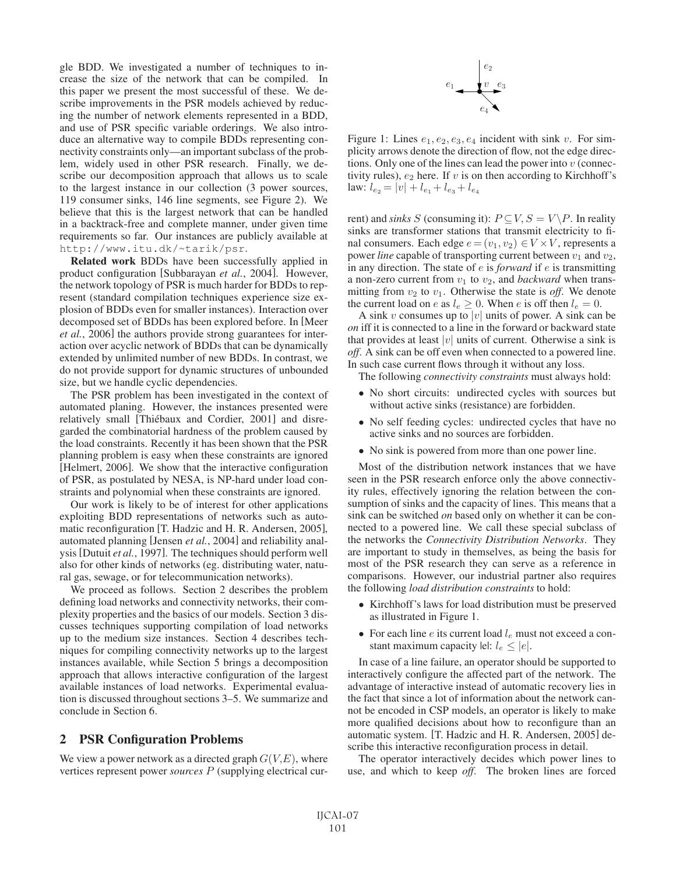gle BDD. We investigated a number of techniques to increase the size of the network that can be compiled. In this paper we present the most successful of these. We describe improvements in the PSR models achieved by reducing the number of network elements represented in a BDD, and use of PSR specific variable orderings. We also introduce an alternative way to compile BDDs representing connectivity constraints only—an important subclass of the problem, widely used in other PSR research. Finally, we describe our decomposition approach that allows us to scale to the largest instance in our collection (3 power sources, 119 consumer sinks, 146 line segments, see Figure 2). We believe that this is the largest network that can be handled in a backtrack-free and complete manner, under given time requirements so far. Our instances are publicly available at http://www.itu.dk/~tarik/psr.

Related work BDDs have been successfully applied in product configuration [Subbarayan *et al.*, 2004]. However, the network topology of PSR is much harder for BDDs to represent (standard compilation techniques experience size explosion of BDDs even for smaller instances). Interaction over decomposed set of BDDs has been explored before. In [Meer *et al.*, 2006] the authors provide strong guarantees for interaction over acyclic network of BDDs that can be dynamically extended by unlimited number of new BDDs. In contrast, we do not provide support for dynamic structures of unbounded size, but we handle cyclic dependencies.

The PSR problem has been investigated in the context of automated planing. However, the instances presented were relatively small [Thiébaux and Cordier, 2001] and disregarded the combinatorial hardness of the problem caused by the load constraints. Recently it has been shown that the PSR planning problem is easy when these constraints are ignored [Helmert, 2006]. We show that the interactive configuration of PSR, as postulated by NESA, is NP-hard under load constraints and polynomial when these constraints are ignored.

Our work is likely to be of interest for other applications exploiting BDD representations of networks such as automatic reconfiguration [T. Hadzic and H. R. Andersen, 2005], automated planning [Jensen *et al.*, 2004] and reliability analysis [Dutuit *et al.*, 1997]. The techniques should perform well also for other kinds of networks (eg. distributing water, natural gas, sewage, or for telecommunication networks).

We proceed as follows. Section 2 describes the problem defining load networks and connectivity networks, their complexity properties and the basics of our models. Section 3 discusses techniques supporting compilation of load networks up to the medium size instances. Section 4 describes techniques for compiling connectivity networks up to the largest instances available, while Section 5 brings a decomposition approach that allows interactive configuration of the largest available instances of load networks. Experimental evaluation is discussed throughout sections 3–5. We summarize and conclude in Section 6.

## 2 PSR Configuration Problems

We view a power network as a directed graph  $G(V, E)$ , where vertices represent power *sources* P (supplying electrical cur-



Figure 1: Lines  $e_1, e_2, e_3, e_4$  incident with sink v. For simplicity arrows denote the direction of flow, not the edge directions. Only one of the lines can lead the power into  $v$  (connectivity rules),  $e_2$  here. If  $v$  is on then according to Kirchhoff's law:  $l_{e_2} = |v| + l_{e_1} + l_{e_3} + l_{e_4}$ 

rent) and *sinks* S (consuming it):  $P \subseteq V$ ,  $S = V \backslash P$ . In reality sinks are transformer stations that transmit electricity to final consumers. Each edge  $e = (v_1, v_2) \in V \times V$ , represents a power *line* capable of transporting current between  $v_1$  and  $v_2$ , in any direction. The state of e is *forward* if e is transmitting a non-zero current from  $v_1$  to  $v_2$ , and *backward* when transmitting from  $v_2$  to  $v_1$ . Otherwise the state is *off*. We denote the current load on e as  $l_e \geq 0$ . When e is off then  $l_e = 0$ .

A sink v consumes up to |v| units of power. A sink can be *on* iff it is connected to a line in the forward or backward state that provides at least  $|v|$  units of current. Otherwise a sink is *off*. A sink can be off even when connected to a powered line. In such case current flows through it without any loss.

The following *connectivity constraints* must always hold:

- No short circuits: undirected cycles with sources but without active sinks (resistance) are forbidden.
- No self feeding cycles: undirected cycles that have no active sinks and no sources are forbidden.
- No sink is powered from more than one power line.

Most of the distribution network instances that we have seen in the PSR research enforce only the above connectivity rules, effectively ignoring the relation between the consumption of sinks and the capacity of lines. This means that a sink can be switched *on* based only on whether it can be connected to a powered line. We call these special subclass of the networks the *Connectivity Distribution Networks*. They are important to study in themselves, as being the basis for most of the PSR research they can serve as a reference in comparisons. However, our industrial partner also requires the following *load distribution constraints* to hold:

- Kirchhoff's laws for load distribution must be preserved as illustrated in Figure 1.
- For each line  $e$  its current load  $l_e$  must not exceed a constant maximum capacity lel:  $l_e \leq |e|$ .

In case of a line failure, an operator should be supported to interactively configure the affected part of the network. The advantage of interactive instead of automatic recovery lies in the fact that since a lot of information about the network cannot be encoded in CSP models, an operator is likely to make more qualified decisions about how to reconfigure than an automatic system. [T. Hadzic and H. R. Andersen, 2005] describe this interactive reconfiguration process in detail.

The operator interactively decides which power lines to use, and which to keep *off*. The broken lines are forced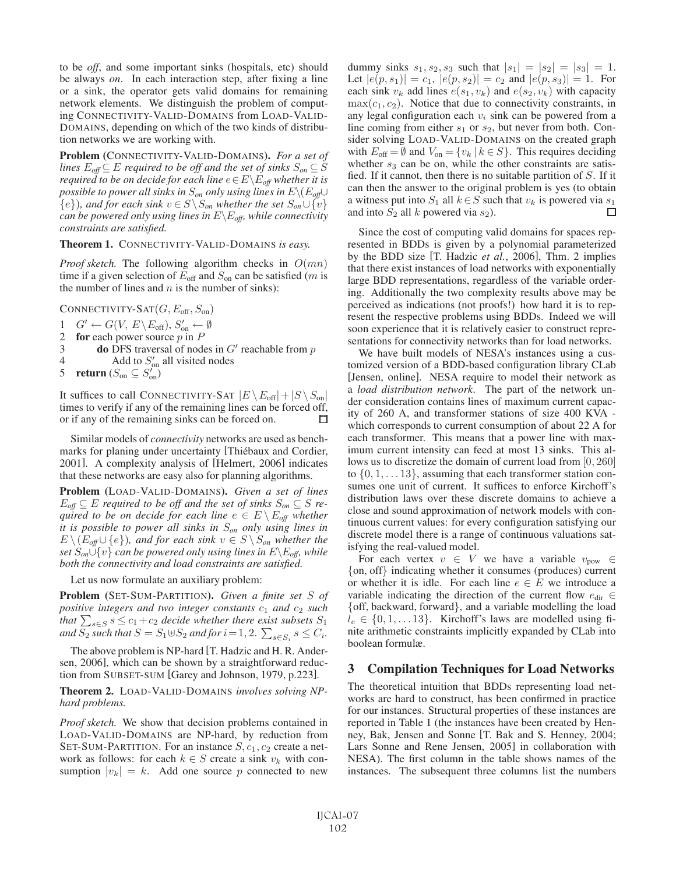to be *off*, and some important sinks (hospitals, etc) should be always *on*. In each interaction step, after fixing a line or a sink, the operator gets valid domains for remaining network elements. We distinguish the problem of computing CONNECTIVITY-VALID-DOMAINS from LOAD-VALID-DOMAINS, depending on which of the two kinds of distribution networks we are working with.

Problem (CONNECTIVITY-VALID-DOMAINS). *For a set of lines*  $E_{\text{off}} \subseteq E$  *required to be off and the set of sinks*  $S_{\text{on}} \subseteq S$ *required to be on decide for each line*  $e \in E \backslash E_{off}$  *whether it is possible to power all sinks in*  $S_{\text{on}}$  *only using lines in*  $E \setminus (E_{\text{off}} \cup$ { $e$ }*), and for each sink*  $v \in S \setminus S_{on}$  *whether the set*  $S_{on} \cup \{v\}$ *can be powered only using lines in* E\E*off, while connectivity constraints are satisfied.*

#### Theorem 1. CONNECTIVITY-VALID-DOMAINS *is easy.*

*Proof sketch.* The following algorithm checks in  $O(mn)$ time if a given selection of  $E_{\text{off}}$  and  $S_{\text{on}}$  can be satisfied (*m* is the number of lines and  $n$  is the number of sinks):

CONNECTIVITY-SAT $(G, E_{\text{off}}, S_{\text{on}})$ 

$$
1 \quad G' \leftarrow G(V, E \backslash E_{\text{off}}), S_{\text{on}}' \leftarrow \emptyset
$$

2 for each power source  $p$  in  $P$ 

- 3 **do** DFS traversal of nodes in  $G'$  reachable from p
- 4 Add to  $S'_{\text{on}}$  all visited nodes

5 return 
$$
(S_{\text{on}} \subseteq S_{\text{on}}^{\prime})
$$

It suffices to call CONNECTIVITY-SAT  $|E \setminus E_{\text{off}}| + |S \setminus S_{\text{on}}|$ times to verify if any of the remaining lines can be forced off, or if any of the remaining sinks can be forced on.  $\Box$ 

Similar models of *connectivity* networks are used as benchmarks for planing under uncertainty [Thiébaux and Cordier, 2001]. A complexity analysis of [Helmert, 2006] indicates that these networks are easy also for planning algorithms.

Problem (LOAD-VALID-DOMAINS). *Given a set of lines*  $E_{\text{off}} \subseteq E$  *required to be off and the set of sinks*  $S_{\text{on}} \subseteq S$  *required to be on decide for each line*  $e \in E \setminus E_{off}$  *whether it is possible to power all sinks in* S*on only using lines in*  $E \setminus (E_{off} \cup \{e\})$ , and for each sink  $v \in S \setminus S_{on}$  whether the *set*  $S_{on} \tilde{\cup} \{v\}$  *can be powered only using lines in*  $E \backslash E_{off}$ *, while both the connectivity and load constraints are satisfied.*

Let us now formulate an auxiliary problem:

Problem (SET-SUM-PARTITION). *Given a finite set* S *of positive integers and two integer constants*  $c_1$  *and*  $c_2$  *such* that  $\sum_{s \in S} s \leq c_1+c_2$  *decide whether there exist subsets*  $S_1$ and  $S_2$  such that  $S=S_1\!\uplus\!S_2$  and for  $i\!=\!1,2. \sum_{s\in S_i} s\leq C_i.$ 

The above problem is NP-hard [T. Hadzic and H. R. Andersen, 2006], which can be shown by a straightforward reduction from SUBSET-SUM [Garey and Johnson, 1979, p.223].

Theorem 2. LOAD-VALID-DOMAINS *involves solving NPhard problems.*

*Proof sketch.* We show that decision problems contained in LOAD-VALID-DOMAINS are NP-hard, by reduction from SET-SUM-PARTITION. For an instance  $S$ ,  $c_1$ ,  $c_2$  create a network as follows: for each  $k \in S$  create a sink  $v_k$  with consumption  $|v_k| = k$ . Add one source p connected to new dummy sinks  $s_1, s_2, s_3$  such that  $|s_1| = |s_2| = |s_3| = 1$ . Let  $|e(p, s_1)| = c_1$ ,  $|e(p, s_2)| = c_2$  and  $|e(p, s_3)| = 1$ . For each sink  $v_k$  add lines  $e(s_1, v_k)$  and  $e(s_2, v_k)$  with capacity  $\max(c_1, c_2)$ . Notice that due to connectivity constraints, in any legal configuration each  $v_i$  sink can be powered from a line coming from either  $s_1$  or  $s_2$ , but never from both. Consider solving LOAD-VALID-DOMAINS on the created graph with  $E_{\text{off}} = \emptyset$  and  $V_{\text{on}} = \{v_k | k \in S\}$ . This requires deciding whether  $s_3$  can be on, while the other constraints are satisfied. If it cannot, then there is no suitable partition of  $S$ . If it can then the answer to the original problem is yes (to obtain a witness put into  $S_1$  all  $k \in S$  such that  $v_k$  is powered via  $s_1$ and into  $S_2$  all k powered via  $s_2$ ). П

Since the cost of computing valid domains for spaces represented in BDDs is given by a polynomial parameterized by the BDD size [T. Hadzic *et al.*, 2006], Thm. 2 implies that there exist instances of load networks with exponentially large BDD representations, regardless of the variable ordering. Additionally the two complexity results above may be perceived as indications (not proofs!) how hard it is to represent the respective problems using BDDs. Indeed we will soon experience that it is relatively easier to construct representations for connectivity networks than for load networks.

We have built models of NESA's instances using a customized version of a BDD-based configuration library CLab [Jensen, online]. NESA require to model their network as a *load distribution network*. The part of the network under consideration contains lines of maximum current capacity of 260 A, and transformer stations of size 400 KVA which corresponds to current consumption of about 22 A for each transformer. This means that a power line with maximum current intensity can feed at most 13 sinks. This allows us to discretize the domain of current load from [0, 260] to  $\{0, 1, \ldots 13\}$ , assuming that each transformer station consumes one unit of current. It suffices to enforce Kirchoff's distribution laws over these discrete domains to achieve a close and sound approximation of network models with continuous current values: for every configuration satisfying our discrete model there is a range of continuous valuations satisfying the real-valued model.

For each vertex  $v \in V$  we have a variable  $v_{\text{pow}} \in$ {on, off} indicating whether it consumes (produces) current or whether it is idle. For each line  $e \in E$  we introduce a variable indicating the direction of the current flow  $e_{\text{dir}} \in$ {off, backward, forward}, and a variable modelling the load  $l_e \in \{0, 1, \ldots 13\}$ . Kirchoff's laws are modelled using finite arithmetic constraints implicitly expanded by CLab into boolean formulæ.

#### 3 Compilation Techniques for Load Networks

The theoretical intuition that BDDs representing load networks are hard to construct, has been confirmed in practice for our instances. Structural properties of these instances are reported in Table 1 (the instances have been created by Henney, Bak, Jensen and Sonne [T. Bak and S. Henney, 2004; Lars Sonne and Rene Jensen, 2005] in collaboration with NESA). The first column in the table shows names of the instances. The subsequent three columns list the numbers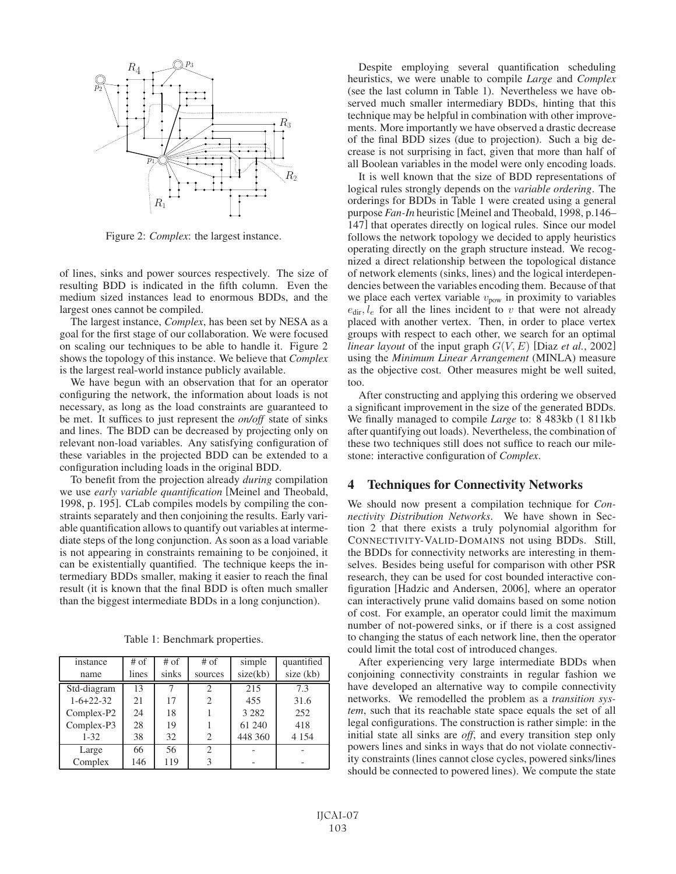

Figure 2: *Complex*: the largest instance.

of lines, sinks and power sources respectively. The size of resulting BDD is indicated in the fifth column. Even the medium sized instances lead to enormous BDDs, and the largest ones cannot be compiled.

The largest instance, *Complex*, has been set by NESA as a goal for the first stage of our collaboration. We were focused on scaling our techniques to be able to handle it. Figure 2 shows the topology of this instance. We believe that *Complex* is the largest real-world instance publicly available.

We have begun with an observation that for an operator configuring the network, the information about loads is not necessary, as long as the load constraints are guaranteed to be met. It suffices to just represent the *on/off* state of sinks and lines. The BDD can be decreased by projecting only on relevant non-load variables. Any satisfying configuration of these variables in the projected BDD can be extended to a configuration including loads in the original BDD.

To benefit from the projection already *during* compilation we use *early variable quantification* [Meinel and Theobald, 1998, p. 195]. CLab compiles models by compiling the constraints separately and then conjoining the results. Early variable quantification allows to quantify out variables at intermediate steps of the long conjunction. As soon as a load variable is not appearing in constraints remaining to be conjoined, it can be existentially quantified. The technique keeps the intermediary BDDs smaller, making it easier to reach the final result (it is known that the final BDD is often much smaller than the biggest intermediate BDDs in a long conjunction).

Table 1: Benchmark properties.

| instance    | $#$ of | $#$ of | $#$ of         | simple   | quantified |
|-------------|--------|--------|----------------|----------|------------|
| name        | lines  | sinks  | sources        | size(kb) | size (kb)  |
| Std-diagram | 13     |        | $\mathfrak{D}$ | 215      | 7.3        |
| $1-6+22-32$ | 21     | 17     | $\overline{2}$ | 455      | 31.6       |
| Complex-P2  | 24     | 18     |                | 3 2 8 2  | 252        |
| Complex-P3  | 28     | 19     |                | 61 240   | 418        |
| $1 - 32$    | 38     | 32     | 2              | 448 360  | 4 1 5 4    |
| Large       | 66     | 56     | $\mathfrak{D}$ |          |            |
| Complex     | 146    | 119    |                |          |            |

Despite employing several quantification scheduling heuristics, we were unable to compile *Large* and *Complex* (see the last column in Table 1). Nevertheless we have observed much smaller intermediary BDDs, hinting that this technique may be helpful in combination with other improvements. More importantly we have observed a drastic decrease of the final BDD sizes (due to projection). Such a big decrease is not surprising in fact, given that more than half of all Boolean variables in the model were only encoding loads.

It is well known that the size of BDD representations of logical rules strongly depends on the *variable ordering*. The orderings for BDDs in Table 1 were created using a general purpose *Fan-In* heuristic [Meinel and Theobald, 1998, p.146– 147] that operates directly on logical rules. Since our model follows the network topology we decided to apply heuristics operating directly on the graph structure instead. We recognized a direct relationship between the topological distance of network elements (sinks, lines) and the logical interdependencies between the variables encoding them. Because of that we place each vertex variable  $v_{\text{pow}}$  in proximity to variables  $e_{\text{dir}}$ ,  $l_e$  for all the lines incident to v that were not already placed with another vertex. Then, in order to place vertex groups with respect to each other, we search for an optimal *linear layout* of the input graph  $G(V, E)$  [Diaz *et al.*, 2002] using the *Minimum Linear Arrangement* (MINLA) measure as the objective cost. Other measures might be well suited, too.

After constructing and applying this ordering we observed a significant improvement in the size of the generated BDDs. We finally managed to compile *Large* to: 8 483kb (1 811kb after quantifying out loads). Nevertheless, the combination of these two techniques still does not suffice to reach our milestone: interactive configuration of *Complex*.

## 4 Techniques for Connectivity Networks

We should now present a compilation technique for *Connectivity Distribution Networks*. We have shown in Section 2 that there exists a truly polynomial algorithm for CONNECTIVITY-VALID-DOMAINS not using BDDs. Still, the BDDs for connectivity networks are interesting in themselves. Besides being useful for comparison with other PSR research, they can be used for cost bounded interactive configuration [Hadzic and Andersen, 2006], where an operator can interactively prune valid domains based on some notion of cost. For example, an operator could limit the maximum number of not-powered sinks, or if there is a cost assigned to changing the status of each network line, then the operator could limit the total cost of introduced changes.

After experiencing very large intermediate BDDs when conjoining connectivity constraints in regular fashion we have developed an alternative way to compile connectivity networks. We remodelled the problem as a *transition system*, such that its reachable state space equals the set of all legal configurations. The construction is rather simple: in the initial state all sinks are *off*, and every transition step only powers lines and sinks in ways that do not violate connectivity constraints (lines cannot close cycles, powered sinks/lines should be connected to powered lines). We compute the state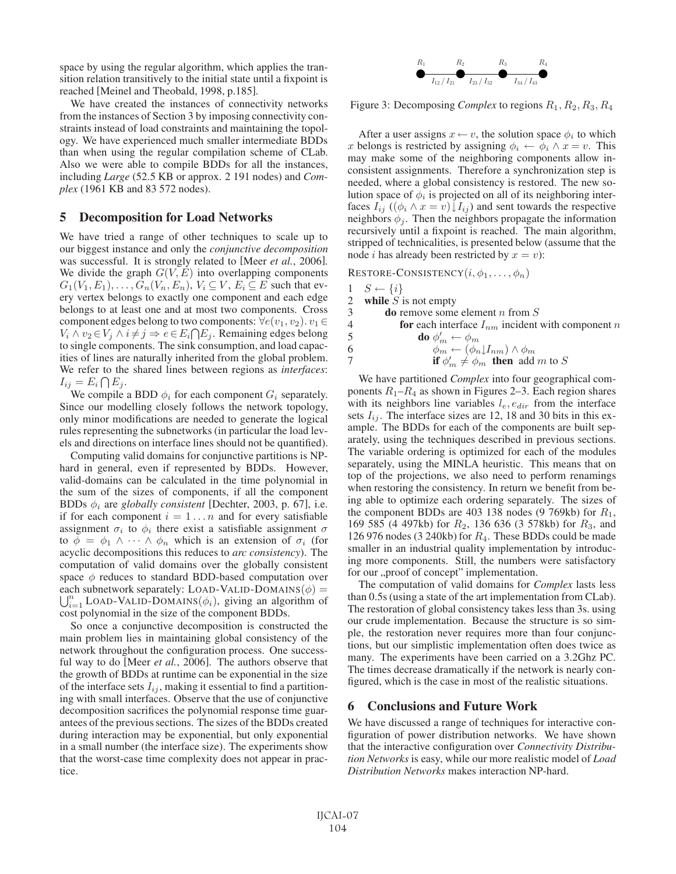space by using the regular algorithm, which applies the transition relation transitively to the initial state until a fixpoint is reached [Meinel and Theobald, 1998, p.185].

We have created the instances of connectivity networks from the instances of Section 3 by imposing connectivity constraints instead of load constraints and maintaining the topology. We have experienced much smaller intermediate BDDs than when using the regular compilation scheme of CLab. Also we were able to compile BDDs for all the instances, including *Large* (52.5 KB or approx. 2 191 nodes) and *Complex* (1961 KB and 83 572 nodes).

### 5 Decomposition for Load Networks

We have tried a range of other techniques to scale up to our biggest instance and only the *conjunctive decomposition* was successful. It is strongly related to [Meer *et al.*, 2006]. We divide the graph  $G(V, E)$  into overlapping components  $G_1(V_1, E_1), \ldots, G_n(V_n, E_n), V_i \subseteq V, E_i \subseteq E$  such that every vertex belongs to exactly one component and each edge belongs to at least one and at most two components. Cross component edges belong to two components:  $\forall e(v_1, v_2) \ldots$  $V_i \wedge v_2 \in V_j \wedge i \neq j \Rightarrow e \in E_i \cap E_j$ . Remaining edges belong to single components. The sink consumption, and load capacities of lines are naturally inherited from the global problem. We refer to the shared lines between regions as *interfaces*:  $I_{ij} = E_i \bigcap E_j.$ 

We compile a BDD  $\phi_i$  for each component  $G_i$  separately. Since our modelling closely follows the network topology, only minor modifications are needed to generate the logical rules representing the subnetworks (in particular the load levels and directions on interface lines should not be quantified).

Computing valid domains for conjunctive partitions is NPhard in general, even if represented by BDDs. However, valid-domains can be calculated in the time polynomial in the sum of the sizes of components, if all the component BDDs  $\phi_i$  are *globally consistent* [Dechter, 2003, p. 67], i.e. if for each component  $i = 1...n$  and for every satisfiable assignment  $\sigma_i$  to  $\phi_i$  there exist a satisfiable assignment  $\sigma$ to  $\phi = \phi_1 \wedge \cdots \wedge \phi_n$  which is an extension of  $\sigma_i$  (for acyclic decompositions this reduces to *arc consistency*). The computation of valid domains over the globally consistent space  $\phi$  reduces to standard BDD-based computation over each subnetwork separately: LOAD-VALID-DOMAINS $(\phi) =$  $\bigcup_{i=1}^n$  LOAD-VALID-DOMAINS( $\phi_i$ ), giving an algorithm of cost polynomial in the size of the component BDDs.

So once a conjunctive decomposition is constructed the main problem lies in maintaining global consistency of the network throughout the configuration process. One successful way to do [Meer *et al.*, 2006]. The authors observe that the growth of BDDs at runtime can be exponential in the size of the interface sets  $I_{ij}$ , making it essential to find a partitioning with small interfaces. Observe that the use of conjunctive decomposition sacrifices the polynomial response time guarantees of the previous sections. The sizes of the BDDs created during interaction may be exponential, but only exponential in a small number (the interface size). The experiments show that the worst-case time complexity does not appear in practice.



Figure 3: Decomposing *Complex* to regions  $R_1$ ,  $R_2$ ,  $R_3$ ,  $R_4$ 

After a user assigns  $x \leftarrow v$ , the solution space  $\phi_i$  to which x belongs is restricted by assigning  $\phi_i \leftarrow \phi_i \land x = v$ . This may make some of the neighboring components allow inconsistent assignments. Therefore a synchronization step is needed, where a global consistency is restored. The new solution space of  $\phi_i$  is projected on all of its neighboring interfaces  $I_{ij}$  (( $\phi_i \wedge x = v$ )  $\downarrow I_{ij}$ ) and sent towards the respective neighbors  $\phi_i$ . Then the neighbors propagate the information recursively until a fixpoint is reached. The main algorithm, stripped of technicalities, is presented below (assume that the node *i* has already been restricted by  $x = v$ :

RESTORE-CONSISTENCY $(i, \phi_1, \ldots, \phi_n)$ 

| $1 \quad S \leftarrow \{i\}$          |
|---------------------------------------|
| $\gamma$ while $\alpha$ is not small. |
|                                       |

|   | while $S$ is not empty                                       |
|---|--------------------------------------------------------------|
| 3 | <b>do</b> remove some element <i>n</i> from $S$              |
| 4 | for each interface $I_{nm}$ incident with component n        |
| 5 | <b>do</b> $\phi'_m \leftarrow \phi_m$                        |
| 6 | $\phi_m \leftarrow (\phi_n \downarrow I_{nm}) \wedge \phi_m$ |
|   | if $\phi'_m \neq \phi_m$ then add m to S                     |
|   |                                                              |

We have partitioned *Complex* into four geographical components  $R_1 - R_4$  as shown in Figures 2–3. Each region shares with its neighbors line variables  $l_e$ ,  $e_{dir}$  from the interface sets  $I_{ij}$ . The interface sizes are 12, 18 and 30 bits in this example. The BDDs for each of the components are built separately, using the techniques described in previous sections. The variable ordering is optimized for each of the modules separately, using the MINLA heuristic. This means that on top of the projections, we also need to perform renamings when restoring the consistency. In return we benefit from being able to optimize each ordering separately. The sizes of the component BDDs are 403 138 nodes (9 769kb) for  $R_1$ , 169 585 (4 497kb) for  $R_2$ , 136 636 (3 578kb) for  $R_3$ , and 126 976 nodes (3 240kb) for  $R_4$ . These BDDs could be made smaller in an industrial quality implementation by introducing more components. Still, the numbers were satisfactory for our "proof of concept" implementation.

The computation of valid domains for *Complex* lasts less than 0.5s (using a state of the art implementation from CLab). The restoration of global consistency takes less than 3s. using our crude implementation. Because the structure is so simple, the restoration never requires more than four conjunctions, but our simplistic implementation often does twice as many. The experiments have been carried on a 3.2Ghz PC. The times decrease dramatically if the network is nearly configured, which is the case in most of the realistic situations.

## 6 Conclusions and Future Work

We have discussed a range of techniques for interactive configuration of power distribution networks. We have shown that the interactive configuration over *Connectivity Distribution Networks* is easy, while our more realistic model of *Load Distribution Networks* makes interaction NP-hard.